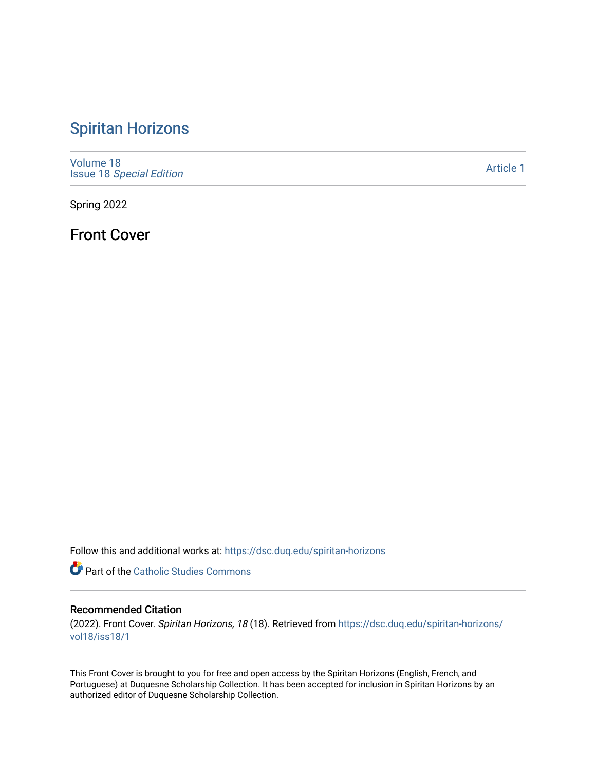## [Spiritan Horizons](https://dsc.duq.edu/spiritan-horizons)

[Volume 18](https://dsc.duq.edu/spiritan-horizons/vol18) Issue 18 [Special Edition](https://dsc.duq.edu/spiritan-horizons/vol18/iss18) 

[Article 1](https://dsc.duq.edu/spiritan-horizons/vol18/iss18/1) 

Spring 2022

Front Cover

Follow this and additional works at: [https://dsc.duq.edu/spiritan-horizons](https://dsc.duq.edu/spiritan-horizons?utm_source=dsc.duq.edu%2Fspiritan-horizons%2Fvol18%2Fiss18%2F1&utm_medium=PDF&utm_campaign=PDFCoverPages)

**Part of the [Catholic Studies Commons](http://network.bepress.com/hgg/discipline/1294?utm_source=dsc.duq.edu%2Fspiritan-horizons%2Fvol18%2Fiss18%2F1&utm_medium=PDF&utm_campaign=PDFCoverPages)** 

## Recommended Citation

(2022). Front Cover. Spiritan Horizons, 18 (18). Retrieved from [https://dsc.duq.edu/spiritan-horizons/](https://dsc.duq.edu/spiritan-horizons/vol18/iss18/1?utm_source=dsc.duq.edu%2Fspiritan-horizons%2Fvol18%2Fiss18%2F1&utm_medium=PDF&utm_campaign=PDFCoverPages) [vol18/iss18/1](https://dsc.duq.edu/spiritan-horizons/vol18/iss18/1?utm_source=dsc.duq.edu%2Fspiritan-horizons%2Fvol18%2Fiss18%2F1&utm_medium=PDF&utm_campaign=PDFCoverPages) 

This Front Cover is brought to you for free and open access by the Spiritan Horizons (English, French, and Portuguese) at Duquesne Scholarship Collection. It has been accepted for inclusion in Spiritan Horizons by an authorized editor of Duquesne Scholarship Collection.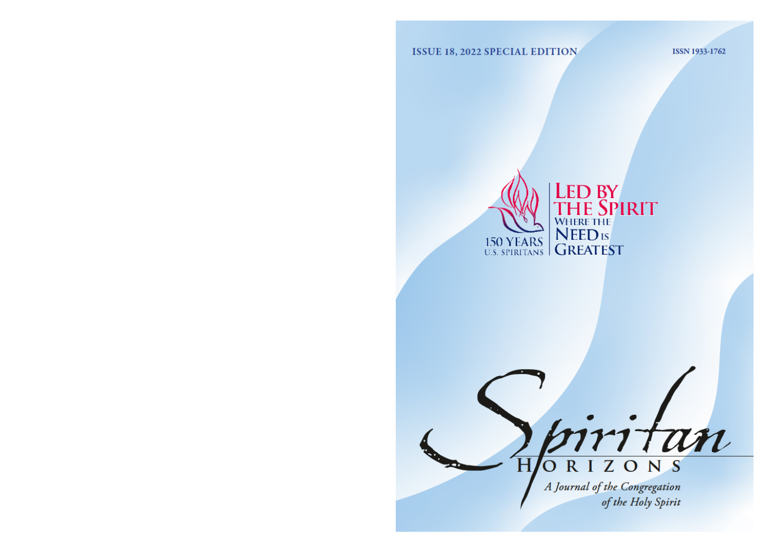**ISSUE 18, 2022 SPECIAL EDITION** 

ISSN 1933-1762



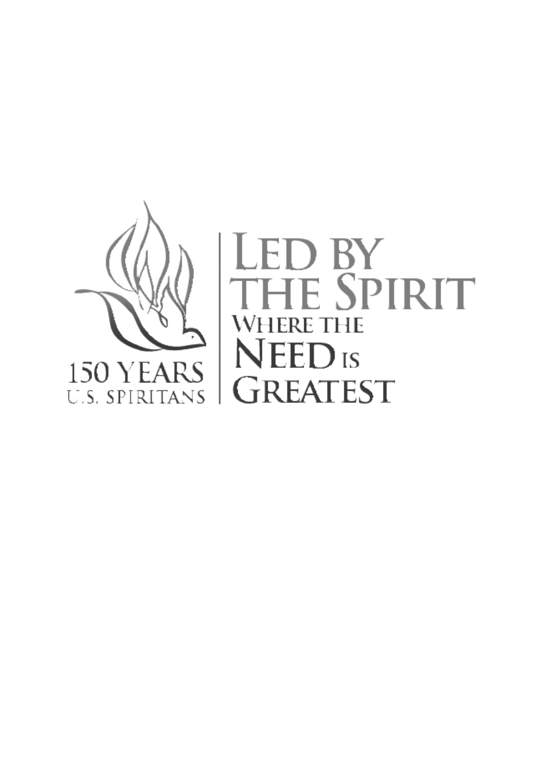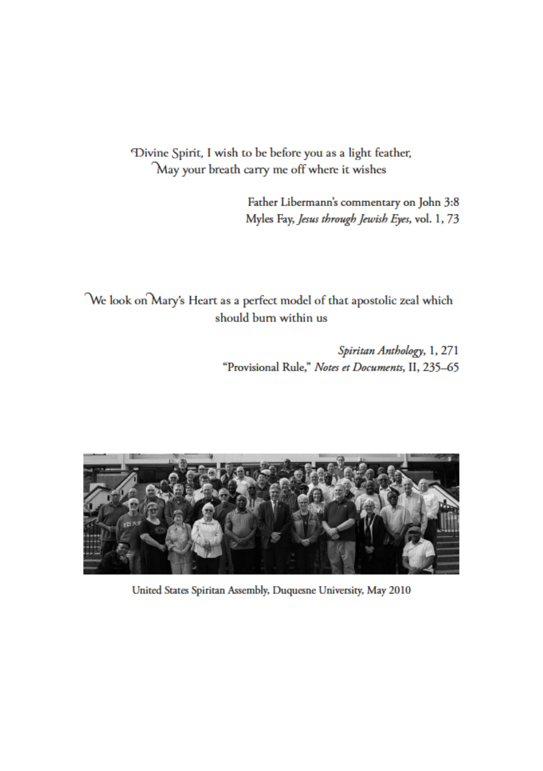Divine Spirit, I wish to be before you as a light feather, May your breath carry me off where it wishes

> Father Libermann's commentary on John 3:8 Myles Fay, Jesus through Jewish Eyes, vol. 1, 73

We look on Mary's Heart as a perfect model of that apostolic zeal which should burn within us

> Spiritan Anthology, 1, 271 "Provisional Rule," Notes et Documents, II, 235-65



United States Spiritan Assembly, Duquesne University, May 2010